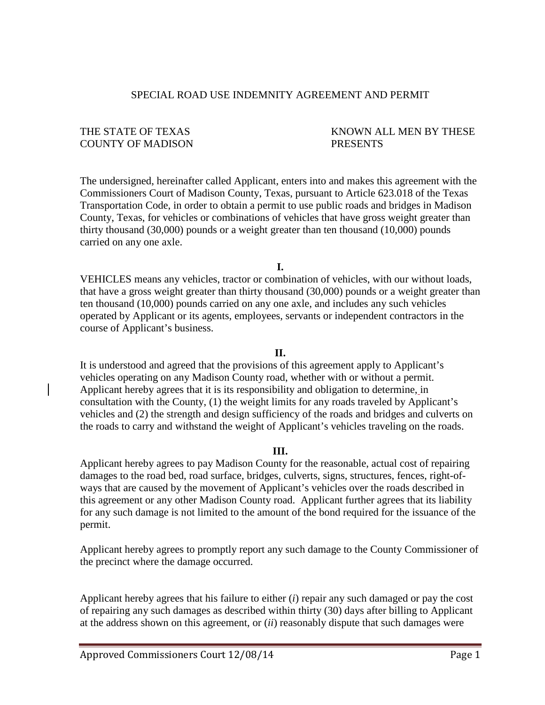#### SPECIAL ROAD USE INDEMNITY AGREEMENT AND PERMIT

# COUNTY OF MADISON PRESENTS

# THE STATE OF TEXAS THESE KNOWN ALL MEN BY THESE

The undersigned, hereinafter called Applicant, enters into and makes this agreement with the Commissioners Court of Madison County, Texas, pursuant to Article 623.018 of the Texas Transportation Code, in order to obtain a permit to use public roads and bridges in Madison County, Texas, for vehicles or combinations of vehicles that have gross weight greater than thirty thousand (30,000) pounds or a weight greater than ten thousand (10,000) pounds carried on any one axle.

**I.**

VEHICLES means any vehicles, tractor or combination of vehicles, with our without loads, that have a gross weight greater than thirty thousand (30,000) pounds or a weight greater than ten thousand (10,000) pounds carried on any one axle, and includes any such vehicles operated by Applicant or its agents, employees, servants or independent contractors in the course of Applicant's business.

#### **II.**

It is understood and agreed that the provisions of this agreement apply to Applicant's vehicles operating on any Madison County road, whether with or without a permit. Applicant hereby agrees that it is its responsibility and obligation to determine, in consultation with the County, (1) the weight limits for any roads traveled by Applicant's vehicles and (2) the strength and design sufficiency of the roads and bridges and culverts on the roads to carry and withstand the weight of Applicant's vehicles traveling on the roads.

#### **III.**

Applicant hereby agrees to pay Madison County for the reasonable, actual cost of repairing damages to the road bed, road surface, bridges, culverts, signs, structures, fences, right-ofways that are caused by the movement of Applicant's vehicles over the roads described in this agreement or any other Madison County road. Applicant further agrees that its liability for any such damage is not limited to the amount of the bond required for the issuance of the permit.

Applicant hereby agrees to promptly report any such damage to the County Commissioner of the precinct where the damage occurred.

Applicant hereby agrees that his failure to either (*i*) repair any such damaged or pay the cost of repairing any such damages as described within thirty (30) days after billing to Applicant at the address shown on this agreement, or (*ii*) reasonably dispute that such damages were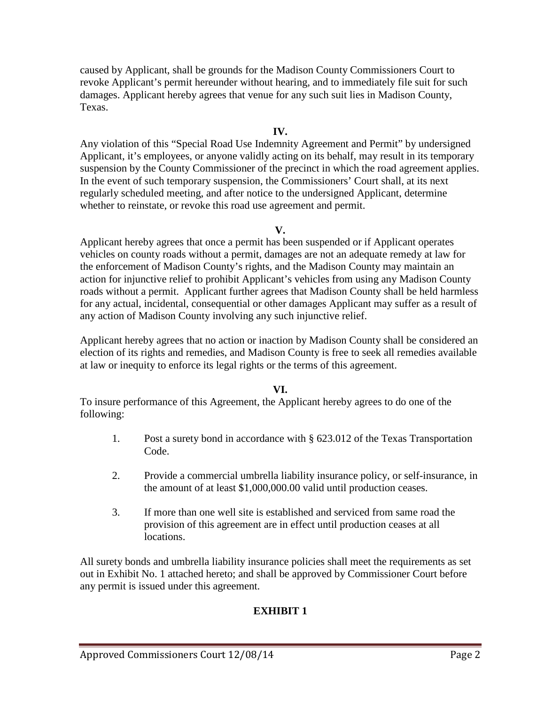caused by Applicant, shall be grounds for the Madison County Commissioners Court to revoke Applicant's permit hereunder without hearing, and to immediately file suit for such damages. Applicant hereby agrees that venue for any such suit lies in Madison County, Texas.

# **IV.**

Any violation of this "Special Road Use Indemnity Agreement and Permit" by undersigned Applicant, it's employees, or anyone validly acting on its behalf, may result in its temporary suspension by the County Commissioner of the precinct in which the road agreement applies. In the event of such temporary suspension, the Commissioners' Court shall, at its next regularly scheduled meeting, and after notice to the undersigned Applicant, determine whether to reinstate, or revoke this road use agreement and permit.

## **V.**

Applicant hereby agrees that once a permit has been suspended or if Applicant operates vehicles on county roads without a permit, damages are not an adequate remedy at law for the enforcement of Madison County's rights, and the Madison County may maintain an action for injunctive relief to prohibit Applicant's vehicles from using any Madison County roads without a permit. Applicant further agrees that Madison County shall be held harmless for any actual, incidental, consequential or other damages Applicant may suffer as a result of any action of Madison County involving any such injunctive relief.

Applicant hereby agrees that no action or inaction by Madison County shall be considered an election of its rights and remedies, and Madison County is free to seek all remedies available at law or inequity to enforce its legal rights or the terms of this agreement.

## **VI.**

To insure performance of this Agreement, the Applicant hereby agrees to do one of the following:

- 1. Post a surety bond in accordance with § 623.012 of the Texas Transportation Code.
- 2. Provide a commercial umbrella liability insurance policy, or self-insurance, in the amount of at least \$1,000,000.00 valid until production ceases.
- 3. If more than one well site is established and serviced from same road the provision of this agreement are in effect until production ceases at all locations.

All surety bonds and umbrella liability insurance policies shall meet the requirements as set out in Exhibit No. 1 attached hereto; and shall be approved by Commissioner Court before any permit is issued under this agreement.

# **EXHIBIT 1**